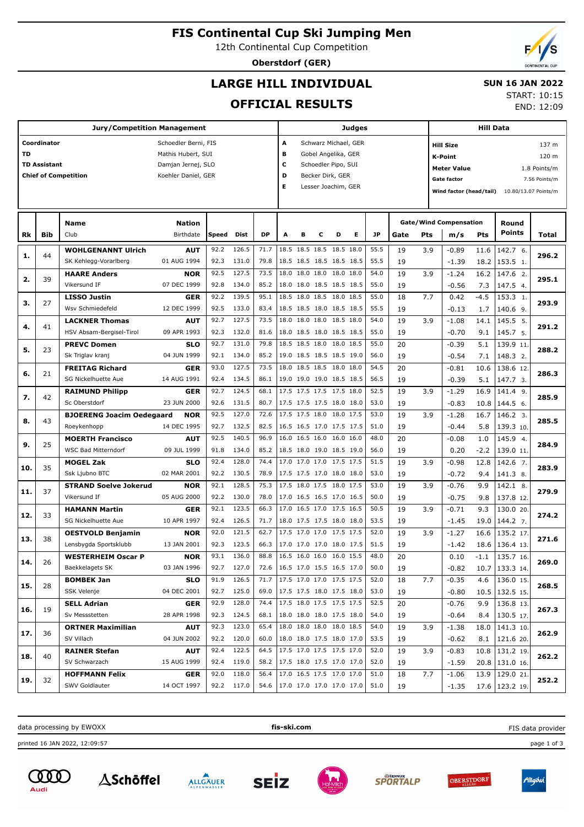# **FIS Continental Cup Ski Jumping Men**

12th Continental Cup Competition

**Oberstdorf (GER)**

# **LARGE HILL INDIVIDUAL**

### **SUN 16 JAN 2022** START: 10:15

END: 12:09

**OFFICIAL RESULTS**

|     |                     | <b>Jury/Competition Management</b> |                      |       |                     |      |      | <b>Judges</b>                   |                      |   |           | <b>Hill Data</b> |                               |                         |        |                      |               |
|-----|---------------------|------------------------------------|----------------------|-------|---------------------|------|------|---------------------------------|----------------------|---|-----------|------------------|-------------------------------|-------------------------|--------|----------------------|---------------|
|     | Coordinator         |                                    | Schoedler Berni, FIS |       |                     |      | A    |                                 | Schwarz Michael, GER |   |           |                  |                               | <b>Hill Size</b>        |        |                      | 137 m         |
| TD  |                     |                                    | Mathis Hubert, SUI   |       |                     |      | в    |                                 | Gobel Angelika, GER  |   |           |                  |                               | K-Point                 |        |                      | 120 m         |
|     | <b>TD Assistant</b> |                                    | Damjan Jernej, SLO   |       |                     |      | с    |                                 | Schoedler Pipo, SUI  |   |           |                  |                               | Meter Value             |        |                      | 1.8 Points/m  |
|     |                     | <b>Chief of Competition</b>        | Koehler Daniel, GER  |       |                     |      | D    |                                 | Becker Dirk, GER     |   |           |                  |                               | <b>Gate factor</b>      |        |                      | 7.56 Points/m |
|     |                     |                                    |                      |       |                     |      | E.   |                                 | Lesser Joachim, GER  |   |           |                  |                               | Wind factor (head/tail) |        | 10.80/13.07 Points/m |               |
|     |                     |                                    |                      |       |                     |      |      |                                 |                      |   |           |                  |                               |                         |        |                      |               |
|     |                     | <b>Name</b>                        | <b>Nation</b>        |       |                     |      |      |                                 |                      |   |           |                  | <b>Gate/Wind Compensation</b> |                         | Round  |                      |               |
| Rk  | <b>Bib</b>          | Club                               | Birthdate            | Speed | Dist                | DP   | A    |                                 | D                    | Е | <b>JP</b> | Gate             | Pts                           | m/s                     | Pts    | Points               | <b>Total</b>  |
|     |                     | <b>WOHLGENANNT Ulrich</b>          | <b>AUT</b>           | 92.2  | 126.5               | 71.7 |      | 18.5 18.5 18.5 18.5 18.0        |                      |   | 55.5      | 19               | 3.9                           | $-0.89$                 | 11.6   | 142.7 6.             |               |
| 1.  | 44                  | SK Kehlegg-Vorarlberg              | 01 AUG 1994          | 92.3  | 131.0               | 79.8 |      | 18.5 18.5 18.5 18.5 18.5        |                      |   | 55.5      | 19               |                               | $-1.39$                 | 18.2   | 153.5 1.             | 296.2         |
|     |                     | <b>HAARE Anders</b>                | <b>NOR</b>           | 92.5  | 127.5               | 73.5 | 18.0 | 18.0 18.0                       | 18.0 18.0            |   | 54.0      | 19               | 3.9                           | $-1.24$                 | 16.2   | 147.6 2.             |               |
| 2.  | 39                  | Vikersund IF                       | 07 DEC 1999          | 92.8  | 134.0               | 85.2 |      | 18.0 18.0 18.5 18.5 18.5        |                      |   | 55.0      | 19               |                               | $-0.56$                 | 7.3    | 147.5 4.             | 295.1         |
|     |                     | <b>LISSO Justin</b>                | <b>GER</b>           | 92.2  | 139.5               | 95.1 |      | 18.5 18.0 18.5 18.0 18.5        |                      |   | 55.0      | 18               | 7.7                           | 0.42                    | $-4.5$ | 153.3 1.             |               |
| з.  | 27                  | Wsv Schmiedefeld                   | 12 DEC 1999          | 92.5  | 133.0               | 83.4 |      | 18.5 18.5 18.0 18.5 18.5        |                      |   | 55.5      | 19               |                               | $-0.13$                 | 1.7    | 140.6 9.             | 293.9         |
|     |                     | <b>LACKNER Thomas</b>              | <b>AUT</b>           | 92.7  | 127.5               | 73.5 | 18.0 | 18.0 18.0                       | 18.5 18.0            |   | 54.0      | 19               | 3.9                           | $-1.08$                 | 14.1   | 145.5 5.             |               |
| 4.  | 41                  | HSV Absam-Bergisel-Tirol           | 09 APR 1993          | 92.3  | 132.0               | 81.6 |      | 18.0 18.5 18.0 18.5 18.5        |                      |   | 55.0      | 19               |                               | $-0.70$                 | 9.1    | 145.7 5.             | 291.2         |
|     |                     | <b>PREVC Domen</b>                 | <b>SLO</b>           | 92.7  | 131.0               | 79.8 |      | 18.5 18.5 18.0                  | 18.0 18.5            |   | 55.0      | 20               |                               | $-0.39$                 | 5.1    | 139.9 11.            |               |
| 5.  | 23                  | Sk Triglav kranj                   | 04 JUN 1999          | 92.1  | 134.0               | 85.2 |      | 19.0 18.5 18.5 18.5 19.0        |                      |   | 56.0      | 19               |                               | $-0.54$                 | 7.1    | 148.3 2.             | 288.2         |
|     |                     | <b>FREITAG Richard</b>             | GER                  | 93.0  | 127.5               | 73.5 |      | 18.0 18.5 18.5 18.0 18.0        |                      |   | 54.5      | 20               |                               | $-0.81$                 | 10.6   | 138.6 12.            |               |
| 6.  | 21                  | SG Nickelhuette Aue                | 14 AUG 1991          | 92.4  | 134.5               | 86.1 |      | 19.0 19.0 19.0 18.5 18.5        |                      |   | 56.5      | 19               |                               | $-0.39$                 | 5.1    | 147.7 3.             | 286.3         |
|     |                     | <b>RAIMUND Philipp</b>             | <b>GER</b>           | 92.7  | 124.5               | 68.1 |      | 17.5 17.5 17.5 17.5 18.0        |                      |   | 52.5      | 19               | 3.9                           | $-1.29$                 | 16.9   | 141.4 9.             |               |
| 7.  | 42                  | Sc Oberstdorf                      | 23 JUN 2000          | 92.6  | 131.5               | 80.7 |      | 17.5 17.5 17.5 18.0 18.0        |                      |   | 53.0      | 19               |                               | $-0.83$                 | 10.8   | 144.5 6.             | 285.9         |
|     |                     | <b>BJOERENG Joacim Oedegaard</b>   | <b>NOR</b>           | 92.5  | 127.0               | 72.6 |      | 17.5 17.5 18.0 18.0 17.5        |                      |   | 53.0      | 19               | 3.9                           | $-1.28$                 | 16.7   | 146.2 3.             |               |
| 8.  | 43                  | Roeykenhopp                        | 14 DEC 1995          | 92.7  | 132.5               | 82.5 |      | 16.5 16.5 17.0 17.5 17.5        |                      |   | 51.0      | 19               |                               | $-0.44$                 | 5.8    | 139.3 10.            | 285.5         |
|     |                     | <b>MOERTH Francisco</b>            | <b>AUT</b>           | 92.5  | 140.5               | 96.9 |      | 16.0 16.5 16.0                  | 16.0 16.0            |   | 48.0      | 20               |                               | $-0.08$                 | 1.0    | 145.9 4.             |               |
| 9.  | 25                  | <b>WSC Bad Mitterndorf</b>         | 09 JUL 1999          | 91.8  | 134.0               | 85.2 |      | 18.5 18.0 19.0 18.5 19.0        |                      |   | 56.0      | 19               |                               | 0.20                    | $-2.2$ | 139.0 11.            | 284.9         |
|     |                     | <b>MOGEL Zak</b>                   | <b>SLO</b>           | 92.4  | 128.0               | 74.4 |      | 17.0 17.0 17.0 17.5 17.5        |                      |   | 51.5      | 19               | 3.9                           | $-0.98$                 | 12.8   | 142.6 7.             |               |
| 10. | 35                  | Ssk Ljubno BTC                     | 02 MAR 2001          | 92.2  | 130.5               | 78.9 |      | 17.5 17.5 17.0 18.0 18.0        |                      |   | 53.0      | 19               |                               | $-0.72$                 | 9.4    | 141.3 8.             | 283.9         |
|     |                     | <b>STRAND Soelve Jokerud</b>       | <b>NOR</b>           | 92.1  | 128.5               | 75.3 |      | 17.5 18.0 17.5 18.0 17.5        |                      |   | 53.0      | 19               | 3.9                           | $-0.76$                 | 9.9    | 142.1 8.             |               |
| 11. | 37                  | Vikersund If                       | 05 AUG 2000          | 92.2  | 130.0               | 78.0 |      | 17.0 16.5 16.5 17.0 16.5        |                      |   | 50.0      | 19               |                               | $-0.75$                 | 9.8    | 137.8 12.            | 279.9         |
|     |                     | <b>HAMANN Martin</b>               | GER                  | 92.1  | 123.5               | 66.3 | 17.0 | 16.5 17.0                       | 17.5 16.5            |   | 50.5      | 19               | 3.9                           | $-0.71$                 | 9.3    | 130.0 20.            |               |
| 12. | 33                  | SG Nickelhuette Aue                | 10 APR 1997          | 92.4  | 126.5               | 71.7 |      | 18.0 17.5 17.5 18.0 18.0        |                      |   | 53.5      | 19               |                               | $-1.45$                 | 19.0   | 144.2 7.             | 274.2         |
|     |                     | <b>OESTVOLD Benjamin</b>           | <b>NOR</b>           | 92.0  | 121.5               | 62.7 |      | 17.5 17.0 17.0                  | 17.5 17.5            |   | 52.0      | 19               | 3.9                           | $-1.27$                 | 16.6   | 135.2 17.            |               |
| 13. | 38                  | Lensbygda Sportsklubb              | 13 JAN 2001          | 92.3  | 123.5               | 66.3 |      | 17.0 17.0 17.0 18.0 17.5        |                      |   | 51.5      | 19               |                               | $-1.42$                 |        | 18.6 136.4 13.       | 271.6         |
|     |                     | <b>WESTERHEIM Oscar P</b>          | <b>NOR</b>           | 93.1  | 136.0               | 88.8 |      | 16.5 16.0 16.0 16.0 15.5        |                      |   | 48.0      | 20               |                               |                         |        | $-1.1$ 135.7 16.     |               |
| 14. | 26                  | Baekkelagets SK                    |                      |       |                     |      |      | 72.6   16.5 17.0 15.5 16.5 17.0 |                      |   | 50.0      |                  |                               | 0.10                    |        |                      | 269.0         |
|     |                     |                                    | 03 JAN 1996          |       | 92.7 127.0<br>126.5 |      |      | 17.5 17.0 17.0 17.5 17.5        |                      |   |           | 19               |                               | -0.82                   |        | $10.7$   133.3 14.   |               |
| 15. | 28                  | <b>BOMBEK Jan</b>                  | <b>SLO</b>           | 91.9  |                     | 71.7 |      |                                 |                      |   | 52.0      | 18               | 7.7                           | $-0.35$                 | 4.6    | 136.0 15.            | 268.5         |
|     |                     | SSK Velenje                        | 04 DEC 2001          | 92.7  | 125.0               | 69.0 |      | 17.5 17.5 18.0 17.5 18.0        |                      |   | 53.0      | 19               |                               | $-0.80$                 |        | $10.5$   132.5 15.   |               |
| 16. | 19                  | <b>SELL Adrian</b>                 | <b>GER</b>           | 92.9  | 128.0               | 74.4 |      | 17.5 18.0 17.5 17.5 17.5        |                      |   | 52.5      | 20               |                               | $-0.76$                 | 9.9    | 136.8 13.            | 267.3         |
|     |                     | Sv Messstetten                     | 28 APR 1998          |       | 92.3 124.5          | 68.1 |      | 18.0 18.0 18.0 17.5 18.0        |                      |   | 54.0      | 19               |                               | $-0.64$                 | 8.4    | 130.5 17.            |               |
| 17. | 36                  | <b>ORTNER Maximilian</b>           | <b>AUT</b>           | 92.3  | 123.0               | 65.4 |      | 18.0 18.0 18.0 18.0 18.5        |                      |   | 54.0      | 19               | 3.9                           | $-1.38$                 |        | 18.0   141.3 10.     | 262.9         |
|     |                     | SV Villach                         | 04 JUN 2002          | 92.2  | 120.0               | 60.0 |      | 18.0 18.0 17.5 18.0 17.0        |                      |   | 53.5      | 19               |                               | $-0.62$                 |        | $8.1$   121.6 20.    |               |
| 18. | 40                  | <b>RAINER Stefan</b>               | <b>AUT</b>           | 92.4  | 122.5               | 64.5 |      | 17.5 17.0 17.5 17.5 17.0        |                      |   | 52.0      | 19               | 3.9                           | $-0.83$                 |        | 10.8   131.2 19.     | 262.2         |
|     |                     | SV Schwarzach                      | 15 AUG 1999          | 92.4  | 119.0               |      |      | 58.2 17.5 18.0 17.5 17.0 17.0   |                      |   | 52.0      | 19               |                               | $-1.59$                 |        | 20.8 131.0 16.       |               |

data processing by EWOXX **fis-ski.com**

**HOFFMANN Felix** SWV Goldlauter

92.0 118.0 56.4 17.0 16.5 17.5 17.0 17.0 51.0 **19.** 32 SWV Goldlauter 14 OCT 1997 92.2 117.0 54.6 17.0 17.0 17.0 17.0 17.0 51.0 19 19 1.35 17.6 123.2 19. 252.2

FIS data provider

13.9 129.0 21. 17.6 123.2 19

printed 16 JAN 2022, 12:09:57 page 1 of 3



32



**GER** 14 OCT 1997







 18 19

7.7



 $-1.06$ -1.35

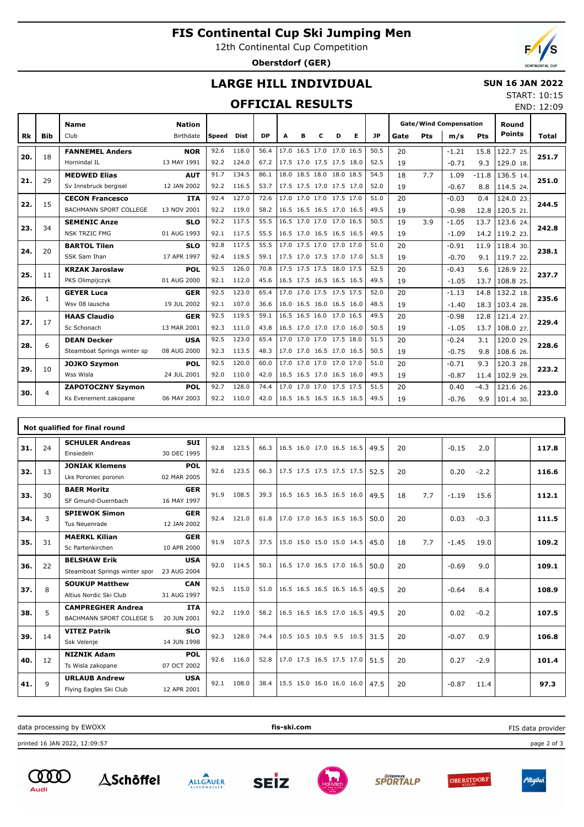# **FIS Continental Cup Ski Jumping Men**

12th Continental Cup Competition

**Oberstdorf (GER)**

END: 12:09

## **LARGE HILL INDIVIDUAL**

### **SUN 16 JAN 2022** START: 10:15

## **OFFICIAL RESULTS**

|     |              | <b>Name</b>                 | <b>Nation</b> |       |             |           |                          |   |   |                          |   |           | <b>Gate/Wind Compensation</b> |     |         |         | Round          |              |
|-----|--------------|-----------------------------|---------------|-------|-------------|-----------|--------------------------|---|---|--------------------------|---|-----------|-------------------------------|-----|---------|---------|----------------|--------------|
| Rk  | <b>Bib</b>   | Club                        | Birthdate     | Speed | <b>Dist</b> | <b>DP</b> | A                        | в | C | D                        | Е | <b>JP</b> | Gate                          | Pts | m/s     | Pts     | <b>Points</b>  | <b>Total</b> |
|     |              | <b>FANNEMEL Anders</b>      | <b>NOR</b>    | 92.6  | 118.0       | 56.4      |                          |   |   | 17.0 16.5 17.0 17.0 16.5 |   | 50.5      | 20                            |     | $-1.21$ | 15.8    | 122.7 25.      |              |
| 20. | 18           | Hornindal IL                | 13 MAY 1991   | 92.2  | 124.0       | 67.2      |                          |   |   | 17.5 17.0 17.5 17.5 18.0 |   | 52.5      | 19                            |     | $-0.71$ | 9.3     | 129.0 18.      | 251.7        |
|     | 29           | <b>MEDWED Elias</b>         | <b>AUT</b>    | 91.7  | 134.5       | 86.1      |                          |   |   | 18.0 18.5 18.0 18.0 18.5 |   | 54.5      | 18                            | 7.7 | 1.09    | $-11.8$ | 136.5 14.      |              |
| 21. |              | Sv Innsbruck bergisel       | 12 JAN 2002   | 92.2  | 116.5       | 53.7      |                          |   |   | 17.5 17.5 17.0 17.5 17.0 |   | 52.0      | 19                            |     | $-0.67$ | 8.8     | 114.5 24.      | 251.0        |
| 22. | 15           | <b>CECON Francesco</b>      | <b>ITA</b>    | 92.4  | 127.0       | 72.6      |                          |   |   | 17.0 17.0 17.0 17.5 17.0 |   | 51.0      | 20                            |     | $-0.03$ | 0.4     | 124.0 23.      | 244.5        |
|     |              | BACHMANN SPORT COLLEGE      | 13 NOV 2001   | 92.2  | 119.0       | 58.2      |                          |   |   | 16.5 16.5 16.5 17.0 16.5 |   | 49.5      | 19                            |     | $-0.98$ | 12.8    | 120.5 21.      |              |
| 23. | 34           | <b>SEMENIC Anze</b>         | <b>SLO</b>    | 92.2  | 117.5       | 55.5      |                          |   |   | 16.5 17.0 17.0 17.0 16.5 |   | 50.5      | 19                            | 3.9 | $-1.05$ | 13.7    | 123.6 24.      | 242.8        |
|     |              | <b>NSK TRZIC FMG</b>        | 01 AUG 1993   | 92.1  | 117.5       | 55.5      |                          |   |   | 16.5 17.0 16.5 16.5 16.5 |   | 49.5      | 19                            |     | $-1.09$ | 14.2    | 119.2 23.      |              |
| 24. | 20           | <b>BARTOL Tilen</b>         | <b>SLO</b>    | 92.8  | 117.5       | 55.5      |                          |   |   | 17.0 17.5 17.0 17.0 17.0 |   | 51.0      | 20                            |     | $-0.91$ | 11.9    | 118.4 30.      | 238.1        |
|     |              | SSK Sam Ihan                | 17 APR 1997   | 92.4  | 119.5       | 59.1      |                          |   |   | 17.5 17.0 17.5 17.0 17.0 |   | 51.5      | 19                            |     | $-0.70$ | 9.1     | 119.7 22.      |              |
| 25. | 11           | <b>KRZAK Jaroslaw</b>       | <b>POL</b>    | 92.5  | 126.0       | 70.8      |                          |   |   | 17.5 17.5 17.5 18.0 17.5 |   | 52.5      | 20                            |     | $-0.43$ | 5.6     | 128.9 22.      | 237.7        |
|     |              | PKS Olimpijczyk             | 01 AUG 2000   | 92.1  | 112.0       | 45.6      |                          |   |   | 16.5 17.5 16.5 16.5 16.5 |   | 49.5      | 19                            |     | $-1.05$ | 13.7    | 108.8 25.      |              |
| 26. | $\mathbf{1}$ | <b>GEYER Luca</b>           | <b>GER</b>    | 92.5  | 123.0       | 65.4      |                          |   |   | 17.0 17.0 17.5 17.5 17.5 |   | 52.0      | 20                            |     | $-1.13$ | 14.8    | 132.2 18.      | 235.6        |
|     |              | Wsv 08 lauscha              | 19 JUL 2002   | 92.1  | 107.0       | 36.6      |                          |   |   | 16.0 16.5 16.0 16.5 16.0 |   | 48.5      | 19                            |     | $-1.40$ |         | 18.3 103.4 28. |              |
| 27. | 17           | <b>HAAS Claudio</b>         | <b>GER</b>    | 92.5  | 119.5       | 59.1      |                          |   |   | 16.5 16.5 16.0 17.0 16.5 |   | 49.5      | 20                            |     | $-0.98$ | 12.8    | 121.4 27.      | 229.4        |
|     |              | Sc Schonach                 | 13 MAR 2001   | 92.3  | 111.0       | 43.8      |                          |   |   | 16.5 17.0 17.0 17.0 16.0 |   | 50.5      | 19                            |     | $-1.05$ | 13.7    | 108.0 27.      |              |
| 28. | 6            | <b>DEAN Decker</b>          | <b>USA</b>    | 92.5  | 123.0       | 65.4      |                          |   |   | 17.0 17.0 17.0 17.5 18.0 |   | 51.5      | 20                            |     | $-0.24$ | 3.1     | 120.0 29.      | 228.6        |
|     |              | Steamboat Springs winter sp | 08 AUG 2000   | 92.3  | 113.5       | 48.3      |                          |   |   | 17.0 17.0 16.5 17.0 16.5 |   | 50.5      | 19                            |     | $-0.75$ | 9.8     | 108.6 26.      |              |
| 29. | 10           | <b>JOJKO Szymon</b>         | <b>POL</b>    | 92.5  | 120.0       | 60.0      |                          |   |   | 17.0 17.0 17.0 17.0 17.0 |   | 51.0      | 20                            |     | $-0.71$ | 9.3     | 120.3 28.      | 223.2        |
|     |              | Wss Wisla                   | 24 JUL 2001   | 92.0  | 110.0       | 42.0      |                          |   |   | 16.5 16.5 17.0 16.5 16.0 |   | 49.5      | 19                            |     | $-0.87$ | 11.4    | 102.9 29.      |              |
| 30. | 4            | <b>ZAPOTOCZNY Szymon</b>    | <b>POL</b>    | 92.7  | 128.0       | 74.4      |                          |   |   | 17.0 17.0 17.0 17.5 17.5 |   | 51.5      | 20                            |     | 0.40    | $-4.3$  | 121.6 26.      | 223.0        |
|     |              | Ks Evenement zakopane       | 06 MAY 2003   | 92.2  | 110.0       | 42.0      | 16.5 16.5 16.5 16.5 16.5 |   |   |                          |   | 49.5      | 19                            |     | $-0.76$ | 9.9     | 101.4 30.      |              |

|     |              | Not qualified for final round |             |      |       |      |                          |  |      |    |     |         |        |       |
|-----|--------------|-------------------------------|-------------|------|-------|------|--------------------------|--|------|----|-----|---------|--------|-------|
| 31. | 24           | <b>SCHULER Andreas</b>        | <b>SUI</b>  | 92.8 | 123.5 | 66.3 | 16.5 16.0 17.0 16.5 16.5 |  | 49.5 | 20 |     | $-0.15$ | 2.0    | 117.8 |
|     |              | Einsiedeln                    | 30 DEC 1995 |      |       |      |                          |  |      |    |     |         |        |       |
| 32. | 13           | <b>JONIAK Klemens</b>         | <b>POL</b>  | 92.6 | 123.5 | 66.3 | 17.5 17.5 17.5 17.5 17.5 |  | 52.5 | 20 |     | 0.20    | $-2.2$ | 116.6 |
|     |              | Lks Poroniec poronin          | 02 MAR 2005 |      |       |      |                          |  |      |    |     |         |        |       |
| 33. | 30           | <b>BAER Moritz</b>            | <b>GER</b>  | 91.9 | 108.5 | 39.3 | 16.5 16.5 16.5 16.5 16.0 |  | 49.5 | 18 | 7.7 | $-1.19$ | 15.6   | 112.1 |
|     |              | SF Gmund-Duernbach            | 16 MAY 1997 |      |       |      |                          |  |      |    |     |         |        |       |
| 34. | 3            | <b>SPIEWOK Simon</b>          | <b>GER</b>  | 92.4 | 121.0 | 61.8 | 17.0 17.0 16.5 16.5 16.5 |  | 50.0 | 20 |     | 0.03    | $-0.3$ | 111.5 |
|     |              | Tus Neuenrade                 | 12 JAN 2002 |      |       |      |                          |  |      |    |     |         |        |       |
| 35. | 31           | <b>MAERKL Kilian</b>          | <b>GER</b>  | 91.9 | 107.5 | 37.5 | 15.0 15.0 15.0 15.0 14.5 |  | 45.0 | 18 | 7.7 | $-1.45$ | 19.0   | 109.2 |
|     |              | Sc Partenkirchen              | 10 APR 2000 |      |       |      |                          |  |      |    |     |         |        |       |
| 36. | 22           | <b>BELSHAW Erik</b>           | <b>USA</b>  | 92.0 | 114.5 | 50.1 | 16.5 17.0 16.5 17.0 16.5 |  | 50.0 | 20 |     | $-0.69$ | 9.0    | 109.1 |
|     |              | Steamboat Springs winter spor | 23 AUG 2004 |      |       |      |                          |  |      |    |     |         |        |       |
| 37. | 8            | <b>SOUKUP Matthew</b>         | <b>CAN</b>  | 92.5 | 115.0 | 51.0 | 16.5 16.5 16.5 16.5 16.5 |  | 49.5 | 20 |     | $-0.64$ | 8.4    | 108.9 |
|     |              | Altius Nordic Ski Club        | 31 AUG 1997 |      |       |      |                          |  |      |    |     |         |        |       |
| 38. | 5            | <b>CAMPREGHER Andrea</b>      | <b>ITA</b>  | 92.2 | 119.0 | 58.2 | 16.5 16.5 16.5 17.0 16.5 |  | 49.5 | 20 |     | 0.02    | $-0.2$ | 107.5 |
|     |              | BACHMANN SPORT COLLEGE S      | 20 JUN 2001 |      |       |      |                          |  |      |    |     |         |        |       |
| 39. | 14           | <b>VITEZ Patrik</b>           | <b>SLO</b>  | 92.3 | 128.0 | 74.4 | 10.5 10.5 10.5 9.5 10.5  |  | 31.5 | 20 |     | $-0.07$ | 0.9    | 106.8 |
|     |              | Ssk Velenje                   | 14 JUN 1998 |      |       |      |                          |  |      |    |     |         |        |       |
| 40. | 12           | <b>NIZNIK Adam</b>            | <b>POL</b>  | 92.6 | 116.0 | 52.8 | 17.0 17.5 16.5 17.5 17.0 |  | 51.5 | 20 |     | 0.27    | $-2.9$ | 101.4 |
|     |              | Ts Wisla zakopane             | 07 OCT 2002 |      |       |      |                          |  |      |    |     |         |        |       |
| 41. | $\mathsf{Q}$ | <b>URLAUB Andrew</b>          | <b>USA</b>  | 92.1 | 108.0 | 38.4 | 15.5 15.0 16.0 16.0 16.0 |  | 47.5 | 20 |     | $-0.87$ | 11.4   | 97.3  |
|     |              | Flying Eagles Ski Club        | 12 APR 2001 |      |       |      |                          |  |      |    |     |         |        |       |

data processing by EWOXX **fis-ski.com**

printed 16 JAN 2022, 12:09:57 page 2 of 3











FIS data provider